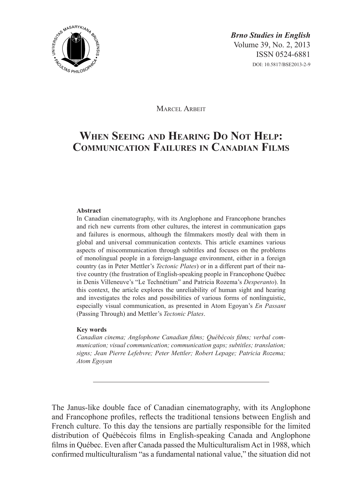

MARCEL ARBEIT

# **When Seeing and Hearing Do Not Help: Communication Failures in Canadian Films**

#### **Abstract**

In Canadian cinematography, with its Anglophone and Francophone branches and rich new currents from other cultures, the interest in communication gaps and failures is enormous, although the filmmakers mostly deal with them in global and universal communication contexts. This article examines various aspects of miscommunication through subtitles and focuses on the problems of monolingual people in a foreign-language environment, either in a foreign country (as in Peter Mettler's *Tectonic Plates*) or in a different part of their native country (the frustration of English-speaking people in Francophone Québec in Denis Villeneuve's "Le Technétium" and Patricia Rozema's *Desperanto*). In this context, the article explores the unreliability of human sight and hearing and investigates the roles and possibilities of various forms of nonlinguistic, especially visual communication, as presented in Atom Egoyan's *En Passant* (Passing Through) and Mettler's *Tectonic Plates*.

#### **Key words**

*Canadian cinema; Anglophone Canadian films; Québécois films; verbal communication; visual communication; communication gaps; subtitles; translation; signs; Jean Pierre Lefebvre; Peter Mettler; Robert Lepage; Patricia Rozema; Atom Egoyan*

The Janus-like double face of Canadian cinematography, with its Anglophone and Francophone profiles, reflects the traditional tensions between English and French culture. To this day the tensions are partially responsible for the limited distribution of Québécois films in English-speaking Canada and Anglophone films in Québec. Even after Canada passed the Multiculturalism Act in 1988, which confirmed multiculturalism "as a fundamental national value," the situation did not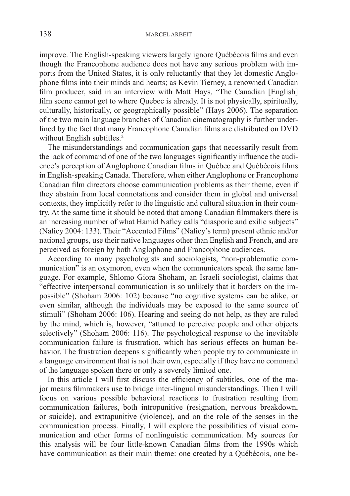improve. The English-speaking viewers largely ignore Québécois films and even though the Francophone audience does not have any serious problem with imports from the United States, it is only reluctantly that they let domestic Anglophone films into their minds and hearts; as Kevin Tierney, a renowned Canadian film producer, said in an interview with Matt Hays, "The Canadian [English] film scene cannot get to where Quebec is already. It is not physically, spiritually, culturally, historically, or geographically possible" (Hays 2006). The separation of the two main language branches of Canadian cinematography is further underlined by the fact that many Francophone Canadian films are distributed on DVD without English subtitles.<sup>2</sup>

The misunderstandings and communication gaps that necessarily result from the lack of command of one of the two languages significantly influence the audience's perception of Anglophone Canadian films in Québec and Québécois films in English-speaking Canada. Therefore, when either Anglophone or Francophone Canadian film directors choose communication problems as their theme, even if they abstain from local connotations and consider them in global and universal contexts, they implicitly refer to the linguistic and cultural situation in their country. At the same time it should be noted that among Canadian filmmakers there is an increasing number of what Hamid Naficy calls "diasporic and exilic subjects" (Naficy 2004: 133). Their "Accented Films" (Naficy's term) present ethnic and/or national groups, use their native languages other than English and French, and are perceived as foreign by both Anglophone and Francophone audiences.

According to many psychologists and sociologists, "non-problematic communication" is an oxymoron, even when the communicators speak the same language. For example, Shlomo Giora Shoham, an Israeli sociologist, claims that "effective interpersonal communication is so unlikely that it borders on the impossible" (Shoham 2006: 102) because "no cognitive systems can be alike, or even similar, although the individuals may be exposed to the same source of stimuli" (Shoham 2006: 106). Hearing and seeing do not help, as they are ruled by the mind, which is, however, "attuned to perceive people and other objects selectively" (Shoham 2006: 116). The psychological response to the inevitable communication failure is frustration, which has serious effects on human behavior. The frustration deepens significantly when people try to communicate in a language environment that is not their own, especially if they have no command of the language spoken there or only a severely limited one.

In this article I will first discuss the efficiency of subtitles, one of the major means filmmakers use to bridge inter-lingual misunderstandings. Then I will focus on various possible behavioral reactions to frustration resulting from communication failures, both intropunitive (resignation, nervous breakdown, or suicide), and extrapunitive (violence), and on the role of the senses in the communication process. Finally, I will explore the possibilities of visual communication and other forms of nonlinguistic communication. My sources for this analysis will be four little-known Canadian films from the 1990s which have communication as their main theme: one created by a Québécois, one be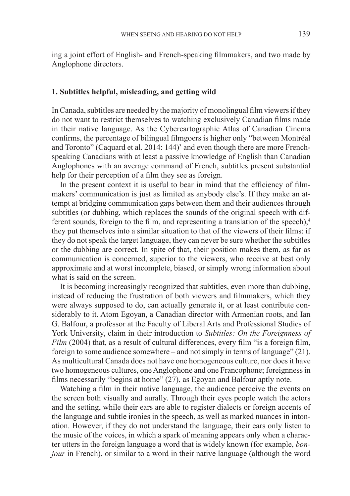ing a joint effort of English- and French-speaking filmmakers, and two made by Anglophone directors.

# **1. Subtitles helpful, misleading, and getting wild**

In Canada, subtitles are needed by the majority of monolingual film viewers if they do not want to restrict themselves to watching exclusively Canadian films made in their native language. As the Cybercartographic Atlas of Canadian Cinema confirms, the percentage of bilingual filmgoers is higher only "between Montréal and Toronto" (Caquard et al. 2014: 144)<sup>3</sup> and even though there are more Frenchspeaking Canadians with at least a passive knowledge of English than Canadian Anglophones with an average command of French, subtitles present substantial help for their perception of a film they see as foreign.

In the present context it is useful to bear in mind that the efficiency of filmmakers' communication is just as limited as anybody else's. If they make an attempt at bridging communication gaps between them and their audiences through subtitles (or dubbing, which replaces the sounds of the original speech with different sounds, foreign to the film, and representing a translation of the speech),<sup>4</sup> they put themselves into a similar situation to that of the viewers of their films: if they do not speak the target language, they can never be sure whether the subtitles or the dubbing are correct. In spite of that, their position makes them, as far as communication is concerned, superior to the viewers, who receive at best only approximate and at worst incomplete, biased, or simply wrong information about what is said on the screen.

It is becoming increasingly recognized that subtitles, even more than dubbing, instead of reducing the frustration of both viewers and filmmakers, which they were always supposed to do, can actually generate it, or at least contribute considerably to it. Atom Egoyan, a Canadian director with Armenian roots, and Ian G. Balfour, a professor at the Faculty of Liberal Arts and Professional Studies of York University, claim in their introduction to *Subtitles: On the Foreignness of Film* (2004) that, as a result of cultural differences, every film "is a foreign film, foreign to some audience somewhere – and not simply in terms of language"  $(21)$ . As multicultural Canada does not have one homogeneous culture, nor does it have two homogeneous cultures, one Anglophone and one Francophone; foreignness in films necessarily "begins at home" (27), as Egoyan and Balfour aptly note.

Watching a film in their native language, the audience perceive the events on the screen both visually and aurally. Through their eyes people watch the actors and the setting, while their ears are able to register dialects or foreign accents of the language and subtle ironies in the speech, as well as marked nuances in intonation. However, if they do not understand the language, their ears only listen to the music of the voices, in which a spark of meaning appears only when a character utters in the foreign language a word that is widely known (for example, *bonjour* in French), or similar to a word in their native language (although the word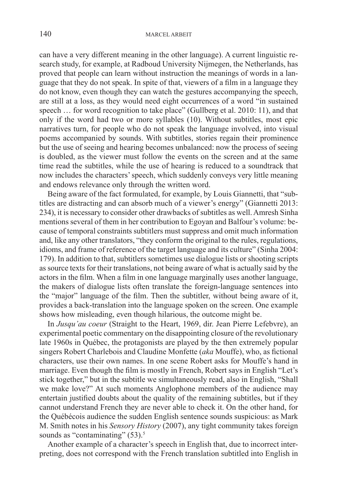can have a very different meaning in the other language). A current linguistic research study, for example, at Radboud University Nijmegen, the Netherlands, has proved that people can learn without instruction the meanings of words in a language that they do not speak. In spite of that, viewers of a film in a language they do not know, even though they can watch the gestures accompanying the speech, are still at a loss, as they would need eight occurrences of a word "in sustained speech ... for word recognition to take place" (Gullberg et al. 2010: 11), and that only if the word had two or more syllables (10). Without subtitles, most epic narratives turn, for people who do not speak the language involved, into visual poems accompanied by sounds. With subtitles, stories regain their prominence but the use of seeing and hearing becomes unbalanced: now the process of seeing is doubled, as the viewer must follow the events on the screen and at the same time read the subtitles, while the use of hearing is reduced to a soundtrack that now includes the characters' speech, which suddenly conveys very little meaning and endows relevance only through the written word.

Being aware of the fact formulated, for example, by Louis Giannetti, that "subtitles are distracting and can absorb much of a viewer's energy" (Giannetti 2013: 234), it is necessary to consider other drawbacks of subtitles as well. Amresh Sinha mentions several of them in her contribution to Egoyan and Balfour's volume: because of temporal constraints subtitlers must suppress and omit much information and, like any other translators, "they conform the original to the rules, regulations, idioms, and frame of reference of the target language and its culture" (Sinha 2004: 179). In addition to that, subtitlers sometimes use dialogue lists or shooting scripts as source texts for their translations, not being aware of what is actually said by the actors in the film. When a film in one language marginally uses another language, the makers of dialogue lists often translate the foreign-language sentences into the "major" language of the film. Then the subtitler, without being aware of it, provides a back-translation into the language spoken on the screen. One example shows how misleading, even though hilarious, the outcome might be.

In *Jusqu'au coeur* (Straight to the Heart, 1969, dir. Jean Pierre Lefebvre), an experimental poetic commentary on the disappointing closure of the revolutionary late 1960s in Québec, the protagonists are played by the then extremely popular singers Robert Charlebois and Claudine Monfette (*aka* Mouffe), who, as fictional characters, use their own names. In one scene Robert asks for Mouffe's hand in marriage. Even though the film is mostly in French, Robert says in English "Let's stick together," but in the subtitle we simultaneously read, also in English, "Shall we make love?" At such moments Anglophone members of the audience may entertain justified doubts about the quality of the remaining subtitles, but if they cannot understand French they are never able to check it. On the other hand, for the Québécois audience the sudden English sentence sounds suspicious: as Mark M. Smith notes in his *Sensory History* (2007), any tight community takes foreign sounds as "contaminating"  $(53)$ .<sup>5</sup>

Another example of a character's speech in English that, due to incorrect interpreting, does not correspond with the French translation subtitled into English in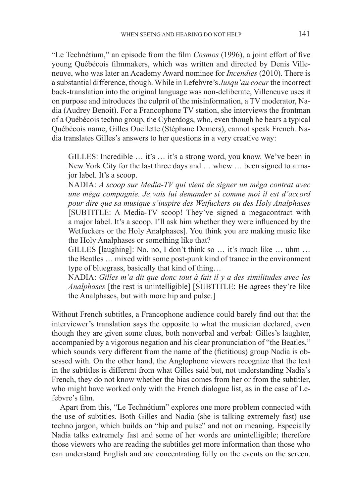"Le Technétium," an episode from the film *Cosmos* (1996), a joint effort of five young Québécois filmmakers, which was written and directed by Denis Villeneuve, who was later an Academy Award nominee for *Incendies* (2010). There is a substantial difference, though. While in Lefebvre's *Jusqu'au coeur* the incorrect back-translation into the original language was non-deliberate, Villeneuve uses it on purpose and introduces the culprit of the misinformation, a TV moderator, Nadia (Audrey Benoit). For a Francophone TV station, she interviews the frontman of a Québécois techno group, the Cyberdogs, who, even though he bears a typical Québécois name, Gilles Ouellette (Stéphane Demers), cannot speak French. Nadia translates Gilles's answers to her questions in a very creative way:

GILLES: Incredible … it's … it's a strong word, you know. We've been in New York City for the last three days and … whew … been signed to a major label. It's a scoop.

NADIA: *A scoop sur Media-TV qui vient de signer un méga contrat avec une méga compagnie. Je vais lui demander si comme moi il est d'accord pour dire que sa musique s'inspire des Wetfuckers ou des Holy Analphases* [SUBTITLE: A Media-TV scoop! They've signed a megacontract with a major label. It's a scoop. I'll ask him whether they were influenced by the Wetfuckers or the Holy Analphases]. You think you are making music like the Holy Analphases or something like that?

GILLES [laughing]: No, no, I don't think so … it's much like … uhm … the Beatles … mixed with some post-punk kind of trance in the environment type of bluegrass, basically that kind of thing…

NADIA: *Gilles m'a dit que donc tout à fait il y a des similitudes avec les Analphases* [the rest is unintelligible] [SUBTITLE: He agrees they're like the Analphases, but with more hip and pulse.]

Without French subtitles, a Francophone audience could barely find out that the interviewer's translation says the opposite to what the musician declared, even though they are given some clues, both nonverbal and verbal: Gilles's laughter, accompanied by a vigorous negation and his clear pronunciation of "the Beatles," which sounds very different from the name of the (fictitious) group Nadia is obsessed with. On the other hand, the Anglophone viewers recognize that the text in the subtitles is different from what Gilles said but, not understanding Nadia's French, they do not know whether the bias comes from her or from the subtitler, who might have worked only with the French dialogue list, as in the case of Lefebvre's film.

Apart from this, "Le Technétium" explores one more problem connected with the use of subtitles. Both Gilles and Nadia (she is talking extremely fast) use techno jargon, which builds on "hip and pulse" and not on meaning. Especially Nadia talks extremely fast and some of her words are unintelligible; therefore those viewers who are reading the subtitles get more information than those who can understand English and are concentrating fully on the events on the screen.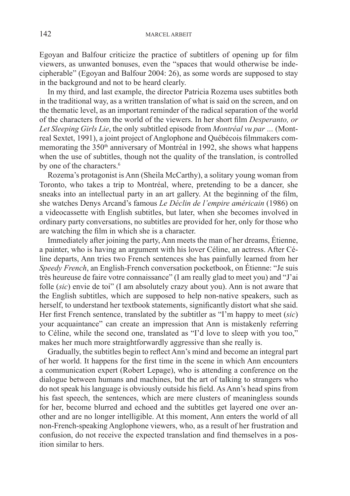Egoyan and Balfour criticize the practice of subtitlers of opening up for film viewers, as unwanted bonuses, even the "spaces that would otherwise be indecipherable" (Egoyan and Balfour 2004: 26), as some words are supposed to stay in the background and not to be heard clearly.

In my third, and last example, the director Patricia Rozema uses subtitles both in the traditional way, as a written translation of what is said on the screen, and on the thematic level, as an important reminder of the radical separation of the world of the characters from the world of the viewers. In her short film *Desperanto, or Let Sleeping Girls Lie*, the only subtitled episode from *Montréal vu par …* (Montreal Sextet, 1991), a joint project of Anglophone and Québécois filmmakers commemorating the 350<sup>th</sup> anniversary of Montréal in 1992, she shows what happens when the use of subtitles, though not the quality of the translation, is controlled by one of the characters.<sup>6</sup>

Rozema's protagonist is Ann (Sheila McCarthy), a solitary young woman from Toronto, who takes a trip to Montréal, where, pretending to be a dancer, she sneaks into an intellectual party in an art gallery. At the beginning of the film, she watches Denys Arcand's famous *Le Déclin de l'empire américain* (1986) on a videocassette with English subtitles, but later, when she becomes involved in ordinary party conversations, no subtitles are provided for her, only for those who are watching the film in which she is a character.

Immediately after joining the party, Ann meets the man of her dreams, Étienne, a painter, who is having an argument with his lover Céline, an actress. After Céline departs, Ann tries two French sentences she has painfully learned from her *Speedy French*, an English-French conversation pocketbook, on Étienne: "Je suis très heureuse de faire votre connaissance" (I am really glad to meet you) and "J'ai folle (*sic*) envie de toi" (I am absolutely crazy about you). Ann is not aware that the English subtitles, which are supposed to help non-native speakers, such as herself, to understand her textbook statements, significantly distort what she said. Her first French sentence, translated by the subtitler as "I'm happy to meet (*sic*) your acquaintance" can create an impression that Ann is mistakenly referring to Céline, while the second one, translated as "I'd love to sleep with you too," makes her much more straightforwardly aggressive than she really is.

Gradually, the subtitles begin to reflect Ann's mind and become an integral part of her world. It happens for the first time in the scene in which Ann encounters a communication expert (Robert Lepage), who is attending a conference on the dialogue between humans and machines, but the art of talking to strangers who do not speak his language is obviously outside his field. As Ann's head spins from his fast speech, the sentences, which are mere clusters of meaningless sounds for her, become blurred and echoed and the subtitles get layered one over another and are no longer intelligible. At this moment, Ann enters the world of all non-French-speaking Anglophone viewers, who, as a result of her frustration and confusion, do not receive the expected translation and find themselves in a position similar to hers.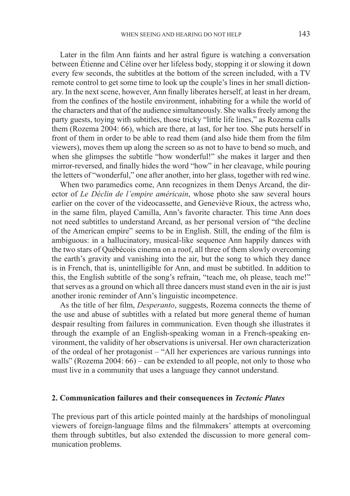Later in the film Ann faints and her astral figure is watching a conversation between Étienne and Céline over her lifeless body, stopping it or slowing it down every few seconds, the subtitles at the bottom of the screen included, with a TV remote control to get some time to look up the couple's lines in her small dictionary. In the next scene, however, Ann finally liberates herself, at least in her dream, from the confines of the hostile environment, inhabiting for a while the world of the characters and that of the audience simultaneously. She walks freely among the party guests, toying with subtitles, those tricky "little life lines," as Rozema calls them (Rozema 2004: 66), which are there, at last, for her too. She puts herself in front of them in order to be able to read them (and also hide them from the film viewers), moves them up along the screen so as not to have to bend so much, and when she glimpses the subtitle "how wonderful!" she makes it larger and then mirror-reversed, and finally hides the word "how" in her cleavage, while pouring the letters of "wonderful," one after another, into her glass, together with red wine.

When two paramedics come, Ann recognizes in them Denys Arcand, the director of *Le Déclin de l'empire américain*, whose photo she saw several hours earlier on the cover of the videocassette, and Geneviève Rioux, the actress who, in the same film, played Camilla, Ann's favorite character. This time Ann does not need subtitles to understand Arcand, as her personal version of "the decline of the American empire" seems to be in English. Still, the ending of the film is ambiguous: in a hallucinatory, musical-like sequence Ann happily dances with the two stars of Québécois cinema on a roof, all three of them slowly overcoming the earth's gravity and vanishing into the air, but the song to which they dance is in French, that is, unintelligible for Ann, and must be subtitled. In addition to this, the English subtitle of the song's refrain, "teach me, oh please, teach me!" that serves as a ground on which all three dancers must stand even in the air is just another ironic reminder of Ann's linguistic incompetence.

As the title of her film, *Desperanto*, suggests, Rozema connects the theme of the use and abuse of subtitles with a related but more general theme of human despair resulting from failures in communication. Even though she illustrates it through the example of an English-speaking woman in a French-speaking environment, the validity of her observations is universal. Her own characterization of the ordeal of her protagonist – "All her experiences are various runnings into walls" (Rozema 2004: 66) – can be extended to all people, not only to those who must live in a community that uses a language they cannot understand.

## **2. Communication failures and their consequences in** *Tectonic Plates*

The previous part of this article pointed mainly at the hardships of monolingual viewers of foreign-language films and the filmmakers' attempts at overcoming them through subtitles, but also extended the discussion to more general communication problems.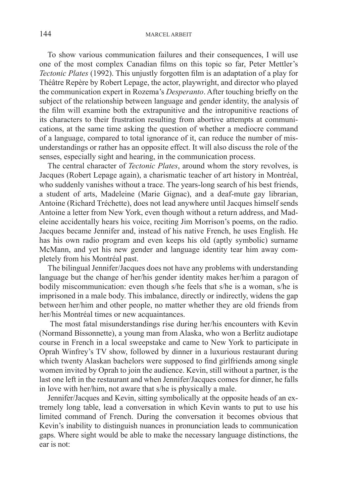To show various communication failures and their consequences, I will use one of the most complex Canadian films on this topic so far, Peter Mettler's *Tectonic Plates* (1992). This unjustly forgotten film is an adaptation of a play for Théâtre Repère by Robert Lepage, the actor, playwright, and director who played the communication expert in Rozema's *Desperanto*. After touching briefly on the subject of the relationship between language and gender identity, the analysis of the film will examine both the extrapunitive and the intropunitive reactions of its characters to their frustration resulting from abortive attempts at communications, at the same time asking the question of whether a mediocre command of a language, compared to total ignorance of it, can reduce the number of misunderstandings or rather has an opposite effect. It will also discuss the role of the senses, especially sight and hearing, in the communication process.

The central character of *Tectonic Plates*, around whom the story revolves, is Jacques (Robert Lepage again), a charismatic teacher of art history in Montréal, who suddenly vanishes without a trace. The years-long search of his best friends, a student of arts, Madeleine (Marie Gignac), and a deaf-mute gay librarian, Antoine (Richard Tréchette), does not lead anywhere until Jacques himself sends Antoine a letter from New York, even though without a return address, and Madeleine accidentally hears his voice, reciting Jim Morrison's poems, on the radio. Jacques became Jennifer and, instead of his native French, he uses English. He has his own radio program and even keeps his old (aptly symbolic) surname McMann, and yet his new gender and language identity tear him away completely from his Montréal past.

The bilingual Jennifer/Jacques does not have any problems with understanding language but the change of her/his gender identity makes her/him a paragon of bodily miscommunication: even though s/he feels that s/he is a woman, s/he is imprisoned in a male body. This imbalance, directly or indirectly, widens the gap between her/him and other people, no matter whether they are old friends from her/his Montréal times or new acquaintances.

 The most fatal misunderstandings rise during her/his encounters with Kevin (Normand Bissonnette), a young man from Alaska, who won a Berlitz audiotape course in French in a local sweepstake and came to New York to participate in Oprah Winfrey's TV show, followed by dinner in a luxurious restaurant during which twenty Alaskan bachelors were supposed to find girlfriends among single women invited by Oprah to join the audience. Kevin, still without a partner, is the last one left in the restaurant and when Jennifer/Jacques comes for dinner, he falls in love with her/him, not aware that s/he is physically a male.

Jennifer/Jacques and Kevin, sitting symbolically at the opposite heads of an extremely long table, lead a conversation in which Kevin wants to put to use his limited command of French. During the conversation it becomes obvious that Kevin's inability to distinguish nuances in pronunciation leads to communication gaps. Where sight would be able to make the necessary language distinctions, the ear is not: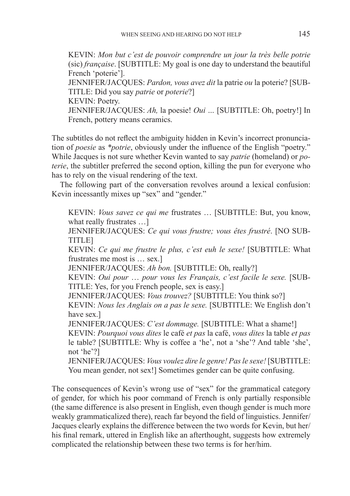KEVIN: *Mon but c'est de pouvoir comprendre un jour la très belle potrie* (sic) *française*. [SUBTITLE: My goal is one day to understand the beautiful French 'poterie'].

JENNIFER/JACQUES: *Pardon, vous avez dit* la patrie *ou* la poterie? [SUB-TITLE: Did you say *patrie* or *poterie*?]

KEVIN: Poetry.

JENNIFER/JACQUES: *Ah,* la poesie! *Oui …* [SUBTITLE: Oh, poetry!] In French, pottery means ceramics.

The subtitles do not reflect the ambiguity hidden in Kevin's incorrect pronunciation of *poesie* as *\*potrie*, obviously under the influence of the English "poetry." While Jacques is not sure whether Kevin wanted to say *patrie* (homeland) or *poterie*, the subtitler preferred the second option, killing the pun for everyone who has to rely on the visual rendering of the text.

The following part of the conversation revolves around a lexical confusion: Kevin incessantly mixes up "sex" and "gender."

KEVIN: *Vous savez ce qui me* frustrates … [SUBTITLE: But, you know, what really frustrates …]

JENNIFER/JACQUES: *Ce qui vous frustre; vous êtes frustré*. [NO SUB-TITLE]

KEVIN: *Ce qui me frustre le plus, c'est euh le sexe!* [SUBTITLE: What frustrates me most is … sex.]

JENNIFER/JACQUES: *Ah bon.* [SUBTITLE: Oh, really?]

KEVIN: *Oui pour* … *pour vous les Français, c'est facile le sexe.* [SUB-TITLE: Yes, for you French people, sex is easy.]

JENNIFER/JACQUES: *Vous trouvez?* [SUBTITLE: You think so?] KEVIN: *Nous les Anglais on a pas le sexe.* [SUBTITLE: We English don't

have sex.]

JENNIFER/JACQUES: *C'est dommage.* [SUBTITLE: What a shame!] KEVIN: *Pourquoi vous dites* le café *et pas* la café, *vous dites* la table *et pas* le table? [SUBTITLE: Why is coffee a 'he', not a 'she'? And table 'she', not 'he'?]

JENNIFER/JACQUES: *Vous voulez dire le genre! Pas le sexe!* [SUBTITLE: You mean gender, not sex!] Sometimes gender can be quite confusing.

The consequences of Kevin's wrong use of "sex" for the grammatical category of gender, for which his poor command of French is only partially responsible (the same difference is also present in English, even though gender is much more weakly grammaticalized there), reach far beyond the field of linguistics. Jennifer/ Jacques clearly explains the difference between the two words for Kevin, but her/ his final remark, uttered in English like an afterthought, suggests how extremely complicated the relationship between these two terms is for her/him.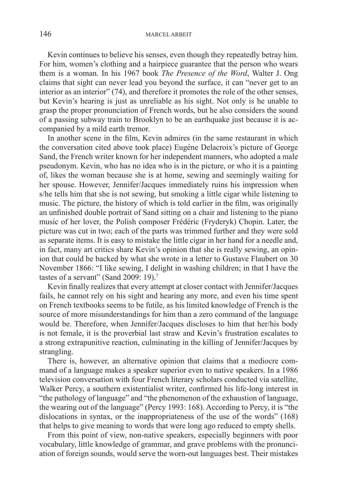Kevin continues to believe his senses, even though they repeatedly betray him. For him, women's clothing and a hairpiece guarantee that the person who wears them is a woman. In his 1967 book *The Presence of the Word*, Walter J. Ong claims that sight can never lead you beyond the surface, it can "never get to an interior as an interior" (74), and therefore it promotes the role of the other senses, but Kevin's hearing is just as unreliable as his sight. Not only is he unable to grasp the proper pronunciation of French words, but he also considers the sound of a passing subway train to Brooklyn to be an earthquake just because it is accompanied by a mild earth tremor.

In another scene in the film, Kevin admires (in the same restaurant in which the conversation cited above took place) Eugéne Delacroix's picture of George Sand, the French writer known for her independent manners, who adopted a male pseudonym. Kevin, who has no idea who is in the picture, or who it is a painting of, likes the woman because she is at home, sewing and seemingly waiting for her spouse. However, Jennifer/Jacques immediately ruins his impression when s/he tells him that she is not sewing, but smoking a little cigar while listening to music. The picture, the history of which is told earlier in the film, was originally an unfinished double portrait of Sand sitting on a chair and listening to the piano music of her lover, the Polish composer Frédéric (Fryderyk) Chopin. Later, the picture was cut in two; each of the parts was trimmed further and they were sold as separate items. It is easy to mistake the little cigar in her hand for a needle and, in fact, many art critics share Kevin's opinion that she is really sewing, an opinion that could be backed by what she wrote in a letter to Gustave Flaubert on 30 November 1866: "I like sewing, I delight in washing children; in that I have the tastes of a servant" (Sand 2009: 19).<sup>7</sup>

Kevin finally realizes that every attempt at closer contact with Jennifer/Jacques fails, he cannot rely on his sight and hearing any more, and even his time spent on French textbooks seems to be futile, as his limited knowledge of French is the source of more misunderstandings for him than a zero command of the language would be. Therefore, when Jennifer/Jacques discloses to him that her/his body is not female, it is the proverbial last straw and Kevin's frustration escalates to a strong extrapunitive reaction, culminating in the killing of Jennifer/Jacques by strangling.

There is, however, an alternative opinion that claims that a mediocre command of a language makes a speaker superior even to native speakers. In a 1986 television conversation with four French literary scholars conducted via satellite, Walker Percy, a southern existentialist writer, confirmed his life-long interest in "the pathology of language" and "the phenomenon of the exhaustion of language, the wearing out of the language" (Percy 1993: 168). According to Percy, it is "the dislocations in syntax, or the inappropriateness of the use of the words" (168) that helps to give meaning to words that were long ago reduced to empty shells.

From this point of view, non-native speakers, especially beginners with poor vocabulary, little knowledge of grammar, and grave problems with the pronunciation of foreign sounds, would serve the worn-out languages best. Their mistakes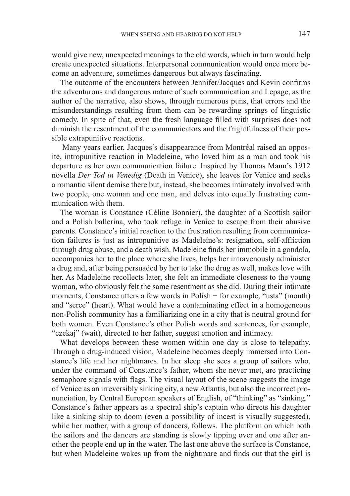would give new, unexpected meanings to the old words, which in turn would help create unexpected situations. Interpersonal communication would once more become an adventure, sometimes dangerous but always fascinating.

The outcome of the encounters between Jennifer/Jacques and Kevin confirms the adventurous and dangerous nature of such communication and Lepage, as the author of the narrative, also shows, through numerous puns, that errors and the misunderstandings resulting from them can be rewarding springs of linguistic comedy. In spite of that, even the fresh language filled with surprises does not diminish the resentment of the communicators and the frightfulness of their possible extrapunitive reactions.

 Many years earlier, Jacques's disappearance from Montréal raised an opposite, intropunitive reaction in Madeleine, who loved him as a man and took his departure as her own communication failure. Inspired by Thomas Mann's 1912 novella *Der Tod in Venedig* (Death in Venice), she leaves for Venice and seeks a romantic silent demise there but, instead, she becomes intimately involved with two people, one woman and one man, and delves into equally frustrating communication with them.

The woman is Constance (Céline Bonnier), the daughter of a Scottish sailor and a Polish ballerina, who took refuge in Venice to escape from their abusive parents. Constance's initial reaction to the frustration resulting from communication failures is just as intropunitive as Madeleine's: resignation, self-affliction through drug abuse, and a death wish. Madeleine finds her immobile in a gondola, accompanies her to the place where she lives, helps her intravenously administer a drug and, after being persuaded by her to take the drug as well, makes love with her. As Madeleine recollects later, she felt an immediate closeness to the young woman, who obviously felt the same resentment as she did. During their intimate moments, Constance utters a few words in Polish − for example, "usta" (mouth) and "serce" (heart). What would have a contaminating effect in a homogeneous non-Polish community has a familiarizing one in a city that is neutral ground for both women. Even Constance's other Polish words and sentences, for example, "czekaj" (wait), directed to her father, suggest emotion and intimacy.

What develops between these women within one day is close to telepathy. Through a drug-induced vision, Madeleine becomes deeply immersed into Constance's life and her nightmares. In her sleep she sees a group of sailors who, under the command of Constance's father, whom she never met, are practicing semaphore signals with flags. The visual layout of the scene suggests the image of Venice as an irreversibly sinking city, a new Atlantis, but also the incorrect pronunciation, by Central European speakers of English, of "thinking" as "sinking." Constance's father appears as a spectral ship's captain who directs his daughter like a sinking ship to doom (even a possibility of incest is visually suggested), while her mother, with a group of dancers, follows. The platform on which both the sailors and the dancers are standing is slowly tipping over and one after another the people end up in the water. The last one above the surface is Constance, but when Madeleine wakes up from the nightmare and finds out that the girl is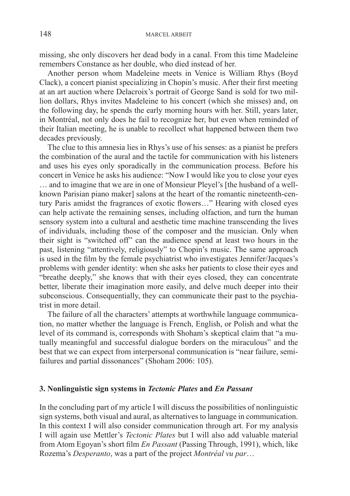missing, she only discovers her dead body in a canal. From this time Madeleine remembers Constance as her double, who died instead of her.

Another person whom Madeleine meets in Venice is William Rhys (Boyd Clack), a concert pianist specializing in Chopin's music. After their first meeting at an art auction where Delacroix's portrait of George Sand is sold for two million dollars, Rhys invites Madeleine to his concert (which she misses) and, on the following day, he spends the early morning hours with her. Still, years later, in Montréal, not only does he fail to recognize her, but even when reminded of their Italian meeting, he is unable to recollect what happened between them two decades previously.

The clue to this amnesia lies in Rhys's use of his senses: as a pianist he prefers the combination of the aural and the tactile for communication with his listeners and uses his eyes only sporadically in the communication process. Before his concert in Venice he asks his audience: "Now I would like you to close your eyes … and to imagine that we are in one of Monsieur Pleyel's [the husband of a wellknown Parisian piano maker] salons at the heart of the romantic nineteenth-century Paris amidst the fragrances of exotic flowers…" Hearing with closed eyes can help activate the remaining senses, including olfaction, and turn the human sensory system into a cultural and aesthetic time machine transcending the lives of individuals, including those of the composer and the musician. Only when their sight is "switched off" can the audience spend at least two hours in the past, listening "attentively, religiously" to Chopin's music. The same approach is used in the film by the female psychiatrist who investigates Jennifer/Jacques's problems with gender identity: when she asks her patients to close their eyes and "breathe deeply," she knows that with their eyes closed, they can concentrate better, liberate their imagination more easily, and delve much deeper into their subconscious. Consequentially, they can communicate their past to the psychiatrist in more detail.

The failure of all the characters' attempts at worthwhile language communication, no matter whether the language is French, English, or Polish and what the level of its command is, corresponds with Shoham's skeptical claim that "a mutually meaningful and successful dialogue borders on the miraculous" and the best that we can expect from interpersonal communication is "near failure, semifailures and partial dissonances" (Shoham 2006: 105).

# **3. Nonlinguistic sign systems in** *Tectonic Plates* **and** *En Passant*

In the concluding part of my article I will discuss the possibilities of nonlinguistic sign systems, both visual and aural, as alternatives to language in communication. In this context I will also consider communication through art. For my analysis I will again use Mettler's *Tectonic Plates* but I will also add valuable material from Atom Egoyan's short film *En Passant* (Passing Through, 1991), which, like Rozema's *Desperanto*, was a part of the project *Montréal vu par*…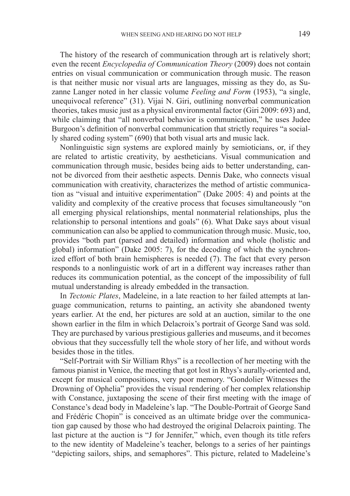The history of the research of communication through art is relatively short; even the recent *Encyclopedia of Communication Theory* (2009) does not contain entries on visual communication or communication through music. The reason is that neither music nor visual arts are languages, missing as they do, as Suzanne Langer noted in her classic volume *Feeling and Form* (1953), "a single, unequivocal reference" (31). Vijai N. Giri, outlining nonverbal communication theories, takes music just as a physical environmental factor (Giri 2009: 693) and, while claiming that "all nonverbal behavior is communication," he uses Judee Burgoon's definition of nonverbal communication that strictly requires "a socially shared coding system" (690) that both visual arts and music lack.

Nonlinguistic sign systems are explored mainly by semioticians, or, if they are related to artistic creativity, by aestheticians. Visual communication and communication through music, besides being aids to better understanding, cannot be divorced from their aesthetic aspects. Dennis Dake, who connects visual communication with creativity, characterizes the method of artistic communication as "visual and intuitive experimentation" (Dake 2005: 4) and points at the validity and complexity of the creative process that focuses simultaneously "on all emerging physical relationships, mental nonmaterial relationships, plus the relationship to personal intentions and goals" (6). What Dake says about visual communication can also be applied to communication through music. Music, too, provides "both part (parsed and detailed) information and whole (holistic and global) information" (Dake 2005: 7), for the decoding of which the synchronized effort of both brain hemispheres is needed (7). The fact that every person responds to a nonlinguistic work of art in a different way increases rather than reduces its communication potential, as the concept of the impossibility of full mutual understanding is already embedded in the transaction.

In *Tectonic Plates*, Madeleine, in a late reaction to her failed attempts at language communication, returns to painting, an activity she abandoned twenty years earlier. At the end, her pictures are sold at an auction, similar to the one shown earlier in the film in which Delacroix's portrait of George Sand was sold. They are purchased by various prestigious galleries and museums, and it becomes obvious that they successfully tell the whole story of her life, and without words besides those in the titles.

"Self-Portrait with Sir William Rhys" is a recollection of her meeting with the famous pianist in Venice, the meeting that got lost in Rhys's aurally-oriented and, except for musical compositions, very poor memory. "Gondolier Witnesses the Drowning of Ophelia" provides the visual rendering of her complex relationship with Constance, juxtaposing the scene of their first meeting with the image of Constance's dead body in Madeleine's lap. "The Double-Portrait of George Sand and Frédéric Chopin" is conceived as an ultimate bridge over the communication gap caused by those who had destroyed the original Delacroix painting. The last picture at the auction is "J for Jennifer," which, even though its title refers to the new identity of Madeleine's teacher, belongs to a series of her paintings "depicting sailors, ships, and semaphores". This picture, related to Madeleine's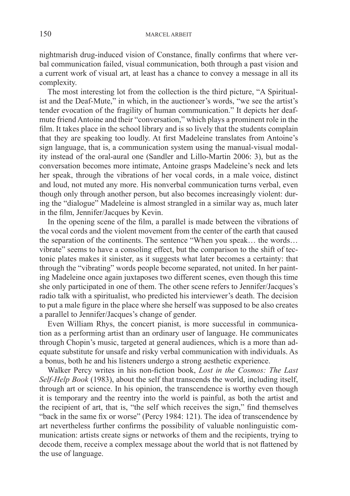nightmarish drug-induced vision of Constance, finally confirms that where verbal communication failed, visual communication, both through a past vision and a current work of visual art, at least has a chance to convey a message in all its complexity.

The most interesting lot from the collection is the third picture, "A Spiritualist and the Deaf-Mute," in which, in the auctioneer's words, "we see the artist's tender evocation of the fragility of human communication." It depicts her deafmute friend Antoine and their "conversation," which plays a prominent role in the film. It takes place in the school library and is so lively that the students complain that they are speaking too loudly. At first Madeleine translates from Antoine's sign language, that is, a communication system using the manual-visual modality instead of the oral-aural one (Sandler and Lillo-Martin 2006: 3), but as the conversation becomes more intimate, Antoine grasps Madeleine's neck and lets her speak, through the vibrations of her vocal cords, in a male voice, distinct and loud, not muted any more. His nonverbal communication turns verbal, even though only through another person, but also becomes increasingly violent: during the "dialogue" Madeleine is almost strangled in a similar way as, much later in the film, Jennifer/Jacques by Kevin.

In the opening scene of the film, a parallel is made between the vibrations of the vocal cords and the violent movement from the center of the earth that caused the separation of the continents. The sentence "When you speak… the words… vibrate" seems to have a consoling effect, but the comparison to the shift of tectonic plates makes it sinister, as it suggests what later becomes a certainty: that through the "vibrating" words people become separated, not united. In her painting Madeleine once again juxtaposes two different scenes, even though this time she only participated in one of them. The other scene refers to Jennifer/Jacques's radio talk with a spiritualist, who predicted his interviewer's death. The decision to put a male figure in the place where she herself was supposed to be also creates a parallel to Jennifer/Jacques's change of gender.

Even William Rhys, the concert pianist, is more successful in communication as a performing artist than an ordinary user of language. He communicates through Chopin's music, targeted at general audiences, which is a more than adequate substitute for unsafe and risky verbal communication with individuals. As a bonus, both he and his listeners undergo a strong aesthetic experience.

Walker Percy writes in his non-fiction book, *Lost in the Cosmos: The Last Self-Help Book* (1983), about the self that transcends the world, including itself, through art or science. In his opinion, the transcendence is worthy even though it is temporary and the reentry into the world is painful, as both the artist and the recipient of art, that is, "the self which receives the sign," find themselves "back in the same fix or worse" (Percy 1984: 121). The idea of transcendence by art nevertheless further confirms the possibility of valuable nonlinguistic communication: artists create signs or networks of them and the recipients, trying to decode them, receive a complex message about the world that is not flattened by the use of language.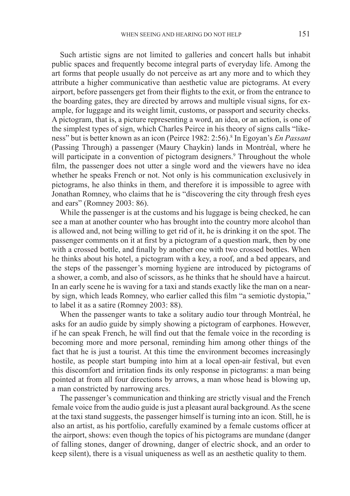Such artistic signs are not limited to galleries and concert halls but inhabit public spaces and frequently become integral parts of everyday life. Among the art forms that people usually do not perceive as art any more and to which they attribute a higher communicative than aesthetic value are pictograms. At every airport, before passengers get from their flights to the exit, or from the entrance to the boarding gates, they are directed by arrows and multiple visual signs, for example, for luggage and its weight limit, customs, or passport and security checks. A pictogram, that is, a picture representing a word, an idea, or an action, is one of the simplest types of sign, which Charles Peirce in his theory of signs calls "likeness" but is better known as an icon (Peirce 1982: 2:56).8 In Egoyan's *En Passant* (Passing Through) a passenger (Maury Chaykin) lands in Montréal, where he will participate in a convention of pictogram designers.<sup>9</sup> Throughout the whole film, the passenger does not utter a single word and the viewers have no idea whether he speaks French or not. Not only is his communication exclusively in pictograms, he also thinks in them, and therefore it is impossible to agree with Jonathan Romney, who claims that he is "discovering the city through fresh eyes and ears" (Romney 2003: 86).

While the passenger is at the customs and his luggage is being checked, he can see a man at another counter who has brought into the country more alcohol than is allowed and, not being willing to get rid of it, he is drinking it on the spot. The passenger comments on it at first by a pictogram of a question mark, then by one with a crossed bottle, and finally by another one with two crossed bottles. When he thinks about his hotel, a pictogram with a key, a roof, and a bed appears, and the steps of the passenger's morning hygiene are introduced by pictograms of a shower, a comb, and also of scissors, as he thinks that he should have a haircut. In an early scene he is waving for a taxi and stands exactly like the man on a nearby sign, which leads Romney, who earlier called this film "a semiotic dystopia," to label it as a satire (Romney 2003: 88).

When the passenger wants to take a solitary audio tour through Montréal, he asks for an audio guide by simply showing a pictogram of earphones. However, if he can speak French, he will find out that the female voice in the recording is becoming more and more personal, reminding him among other things of the fact that he is just a tourist. At this time the environment becomes increasingly hostile, as people start bumping into him at a local open-air festival, but even this discomfort and irritation finds its only response in pictograms: a man being pointed at from all four directions by arrows, a man whose head is blowing up, a man constricted by narrowing arcs.

The passenger's communication and thinking are strictly visual and the French female voice from the audio guide is just a pleasant aural background. As the scene at the taxi stand suggests, the passenger himself is turning into an icon. Still, he is also an artist, as his portfolio, carefully examined by a female customs officer at the airport, shows: even though the topics of his pictograms are mundane (danger of falling stones, danger of drowning, danger of electric shock, and an order to keep silent), there is a visual uniqueness as well as an aesthetic quality to them.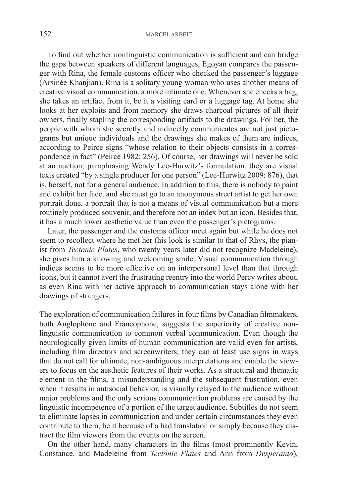#### 152 MARCEL ARBEIT

To find out whether nonlinguistic communication is sufficient and can bridge the gaps between speakers of different languages, Egoyan compares the passenger with Rina, the female customs officer who checked the passenger's luggage (Arsinée Khanjian). Rina is a solitary young woman who uses another means of creative visual communication, a more intimate one. Whenever she checks a bag, she takes an artifact from it, be it a visiting card or a luggage tag. At home she looks at her exploits and from memory she draws charcoal pictures of all their owners, finally stapling the corresponding artifacts to the drawings. For her, the people with whom she secretly and indirectly communicates are not just pictograms but unique individuals and the drawings she makes of them are indices, according to Peirce signs "whose relation to their objects consists in a correspondence in fact" (Peirce 1982: 256). Of course, her drawings will never be sold at an auction; paraphrasing Wendy Lee-Hurwitz's formulation, they are visual texts created "by a single producer for one person" (Lee-Hurwitz 2009: 876), that is, herself, not for a general audience. In addition to this, there is nobody to paint and exhibit her face, and she must go to an anonymous street artist to get her own portrait done, a portrait that is not a means of visual communication but a mere routinely produced souvenir, and therefore not an index but an icon. Besides that, it has a much lower aesthetic value than even the passenger's pictograms.

Later, the passenger and the customs officer meet again but while he does not seem to recollect where he met her (his look is similar to that of Rhys, the pianist from *Tectonic Plates*, who twenty years later did not recognize Madeleine), she gives him a knowing and welcoming smile. Visual communication through indices seems to be more effective on an interpersonal level than that through icons, but it cannot avert the frustrating reentry into the world Percy writes about, as even Rina with her active approach to communication stays alone with her drawings of strangers.

The exploration of communication failures in four films by Canadian filmmakers, both Anglophone and Francophone, suggests the superiority of creative nonlinguistic communication to common verbal communication. Even though the neurologically given limits of human communication are valid even for artists, including film directors and screenwriters, they can at least use signs in ways that do not call for ultimate, non-ambiguous interpretations and enable the viewers to focus on the aesthetic features of their works. As a structural and thematic element in the films, a misunderstanding and the subsequent frustration, even when it results in antisocial behavior, is visually relayed to the audience without major problems and the only serious communication problems are caused by the linguistic incompetence of a portion of the target audience. Subtitles do not seem to eliminate lapses in communication and under certain circumstances they even contribute to them, be it because of a bad translation or simply because they distract the film viewers from the events on the screen.

On the other hand, many characters in the films (most prominently Kevin, Constance, and Madeleine from *Tectonic Plates* and Ann from *Desperanto*),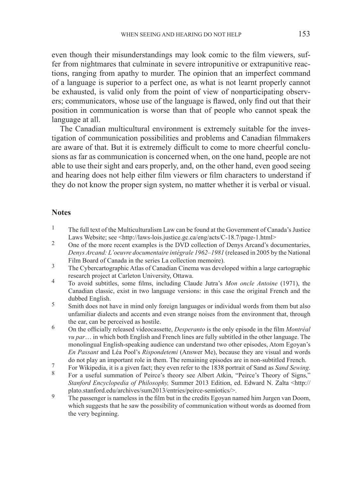even though their misunderstandings may look comic to the film viewers, suffer from nightmares that culminate in severe intropunitive or extrapunitive reactions, ranging from apathy to murder. The opinion that an imperfect command of a language is superior to a perfect one, as what is not learnt properly cannot be exhausted, is valid only from the point of view of nonparticipating observers; communicators, whose use of the language is flawed, only find out that their position in communication is worse than that of people who cannot speak the language at all.

The Canadian multicultural environment is extremely suitable for the investigation of communication possibilities and problems and Canadian filmmakers are aware of that. But it is extremely difficult to come to more cheerful conclusions as far as communication is concerned when, on the one hand, people are not able to use their sight and ears properly, and, on the other hand, even good seeing and hearing does not help either film viewers or film characters to understand if they do not know the proper sign system, no matter whether it is verbal or visual.

#### **Notes**

- <sup>1</sup> The full text of the Multiculturalism Law can be found at the Government of Canada's Justice Laws Website; see <http://laws-lois.justice.gc.ca/eng/acts/C-18.7/page-1.html>
- <sup>2</sup> One of the more recent examples is the DVD collection of Denys Arcand's documentaries, *Denys Arcand: L'oeuvre documentaire intégrale 1962–1981* (released in 2005 by the National Film Board of Canada in the series La collection memoire).
- <sup>3</sup> The Cybercartographic Atlas of Canadian Cinema was developed within a large cartographic research project at Carleton University, Ottawa.
- 4 To avoid subtitles, some films, including Claude Jutra's *Mon oncle Antoine* (1971), the Canadian classic, exist in two language versions: in this case the original French and the dubbed English.
- <sup>5</sup> Smith does not have in mind only foreign languages or individual words from them but also unfamiliar dialects and accents and even strange noises from the environment that, through the ear, can be perceived as hostile.
- 6 On the officially released videocassette, *Desperanto* is the only episode in the film *Montréal vu par*… in which both English and French lines are fully subtitled in the other language. The monolingual English-speaking audience can understand two other episodes, Atom Egoyan's *En Passant* and Léa Pool's *Rispondetemi* (Answer Me), because they are visual and words do not play an important role in them. The remaining episodes are in non-subtitled French.
- 
- 7 For Wikipedia, it is a given fact; they even refer to the 1838 portrait of Sand as *Sand Sewing*. 8 For a useful summation of Peirce's theory see Albert Atkin, "Peirce's Theory of Signs," *Stanford Encyclopedia of Philosophy,* Summer 2013 Edition, ed. Edward N. Zalta <http:// plato.stanford.edu/archives/sum2013/entries/peirce-semiotics/>.
- 9 The passenger is nameless in the film but in the credits Egoyan named him Jurgen van Doom, which suggests that he saw the possibility of communication without words as doomed from the very beginning.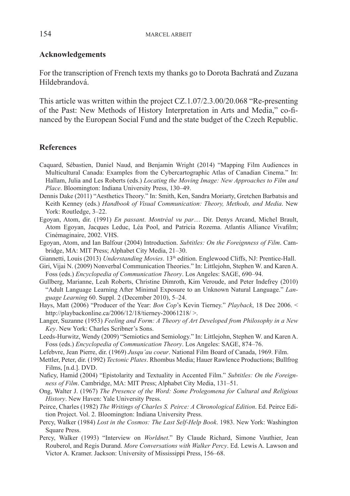# **Acknowledgements**

For the transcription of French texts my thanks go to Dorota Bachratá and Zuzana Hildebrandová.

This article was written within the project CZ.1.07/2.3.00/20.068 "Re-presenting of the Past: New Methods of History Interpretation in Arts and Media," co-financed by the European Social Fund and the state budget of the Czech Republic.

### **References**

- Caquard, Sébastien, Daniel Naud, and Benjamin Wright (2014) "Mapping Film Audiences in Multicultural Canada: Examples from the Cybercartographic Atlas of Canadian Cinema." In: Hallam, Julia and Les Roberts (eds.) *Locating the Moving Image: New Approaches to Film and Place*. Bloomington: Indiana University Press, 130–49.
- Dennis Dake (2011) "Aesthetics Theory." In: Smith, Ken, Sandra Moriarty, Gretchen Barbatsis and Keith Kenney (eds.) *Handbook of Visual Communication: Theory, Methods, and Media*. New York: Routledge, 3–22.
- Egoyan, Atom, dir. (1991) *En passant*. *Montréal vu par*… Dir. Denys Arcand, Michel Brault, Atom Egoyan, Jacques Leduc, Léa Pool, and Patricia Rozema. Atlantis Alliance Vivafilm; Cinémaginaire, 2002. VHS.
- Egoyan, Atom, and Ian Balfour (2004) Introduction. *Subtitles: On the Foreignness of Film*. Cambridge, MA: MIT Press; Alphabet City Media, 21–30.
- Giannetti, Louis (2013) *Understanding Movies*. 13<sup>th</sup> edition. Englewood Cliffs, NJ: Prentice-Hall.
- Giri, Vijai N. (2009) Nonverbal Communication Theories." In: Littlejohn, Stephen W. and Karen A. Foss (eds.) *Encyclopedia of Communication Theory*. Los Angeles: SAGE, 690–94.
- Gullberg, Marianne, Leah Roberts, Christine Dimroth, Kim Veroude, and Peter Indefrey (2010) "Adult Language Learning After Minimal Exposure to an Unknown Natural Language." *Language Learning* 60. Suppl. 2 (December 2010), 5–24.
- Hays, Matt (2006) "Producer of the Year: *Bon Cop*'s Kevin Tierney." *Playback*, 18 Dec 2006. < http://playbackonline.ca/2006/12/18/tierney-20061218/ >.
- Langer, Suzanne (1953) *Feeling and Form: A Theory of Art Developed from Philosophy in a New Key*. New York: Charles Scribner's Sons.
- Leeds-Hurwitz, Wendy (2009) "Semiotics and Semiology." In: Littlejohn, Stephen W. and Karen A. Foss (eds.) *Encyclopedia of Communication Theory*. Los Angeles: SAGE, 874–76.
- Lefebvre, Jean Pierre, dir. (1969) *Jusqu'au coeur*. National Film Board of Canada, 1969. Film.
- Mettler, Peter, dir. (1992) *Tectonic Plates*. Rhombus Media; Hauer Rawlence Productions; Bullfrog Films, [n.d.]. DVD.
- Naficy, Hamid (2004) "Epistolarity and Textuality in Accented Film." *Subtitles: On the Foreignness of Film*. Cambridge, MA: MIT Press; Alphabet City Media, 131–51.
- Ong, Walter J. (1967) *The Presence of the Word: Some Prolegomena for Cultural and Religious History*. New Haven: Yale University Press.
- Peirce, Charles (1982) *The Writings of Charles S. Peirce: A Chronological Edition*. Ed. Peirce Edition Project. Vol. 2. Bloomington: Indiana University Press.
- Percy, Walker (1984) *Lost in the Cosmos: The Last Self-Help Book*. 1983. New York: Washington Square Press.
- Percy, Walker (1993) "Interview on *Worldnet*." By Claude Richard, Simone Vauthier, Jean Rouberol, and Regis Durand. *More Conversations with Walker Percy*. Ed. Lewis A. Lawson and Victor A. Kramer. Jackson: University of Mississippi Press, 156–68.